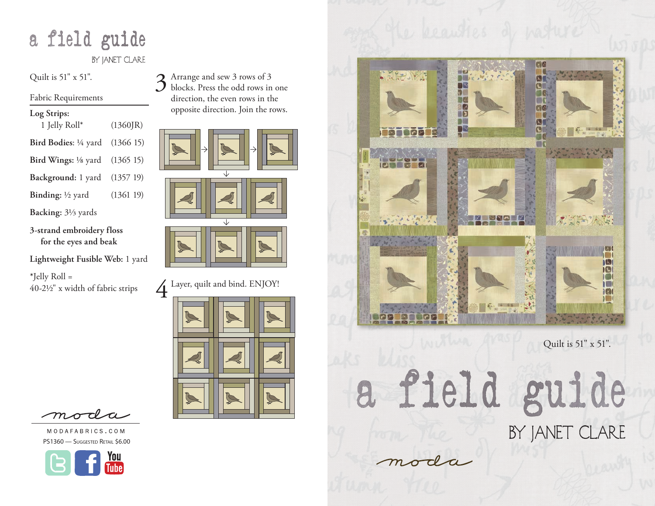# a field guide

BY JANET CLARE

Quilt is 51" x 51".

Fabric Requirements

| Log Strips: |  |
|-------------|--|
|-------------|--|

| 1 Jelly Roll $*$                          | (1360]R) |
|-------------------------------------------|----------|
| Bird Bodies: $\frac{1}{4}$ yard (1366 15) |          |
| <b>Bird Wings:</b> 1/8 yard (1365 15)     |          |

**Background:** 1 yard (1357 19)

**Binding:** <sup>1</sup>/<sub>2</sub> yard (1361 19)

**Backing:** 31/3 yards

**3-strand embroidery floss for the eyes and beak**

**Lightweight Fusible Web:** 1 yard

**\***Jelly Roll = 40-21/2" x width of fabric strips









4 Layer, quilt and bind. ENJOY!



moda

MODAFABRICS.COM PS1360 - Suggested Retail \$6.00





Quilt is 51" x 51".

a field guide BY JANET CLARE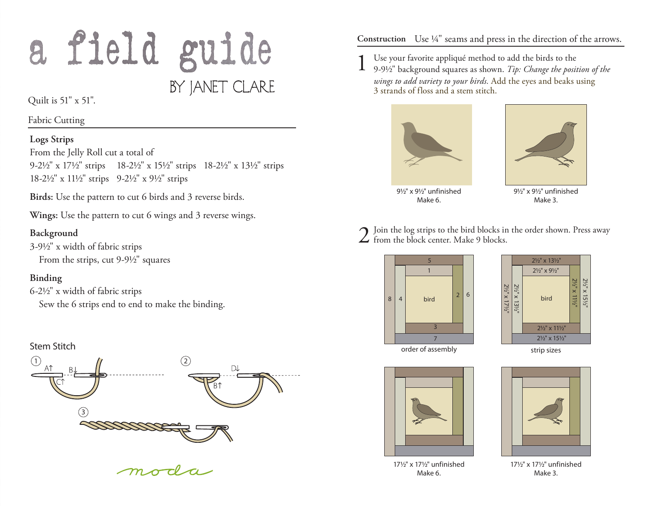# a field guide BY JANET CLARE

Quilt is 51" x 51".

Fabric Cutting

#### **Logs Strips**

From the Jelly Roll cut a total of 9-21/2" x 171/2" strips 18-21/2" x 151/2" strips 18-21/2" x 131/2" strips 18-21/2" x 111/2" strips 9-21/2" x 91/2" strips

**Birds:** Use the pattern to cut 6 birds and 3 reverse birds.

**Wings:** Use the pattern to cut 6 wings and 3 reverse wings.

#### **Background**

3-91/2" x width of fabric strips From the strips, cut 9-9½" squares

## **Binding**

6-21/2" x width of fabric strips Sew the 6 strips end to end to make the binding.

## Stem Stitch



**Construction** Use ¼" seams and press in the direction of the arrows.

1 Use your favorite appliqué method to add the birds to the 9-91/2" background squares as shown. *Tip: Change the position of the wings to add variety to your birds.* Add the eyes and beaks using 3 strands of floss and a stem stitch.





91/2" x 91/2" unfinished Make 6.

91/2" x 91/2" unfinished Make 3.

2 Join the log strips to the bird blocks in the order shown. Press away from the block center. Make 9 blocks.





order of assembly



171/2" x 171/2" unfinished Make 6.

171/2" x 171/2" unfinished Make 3.